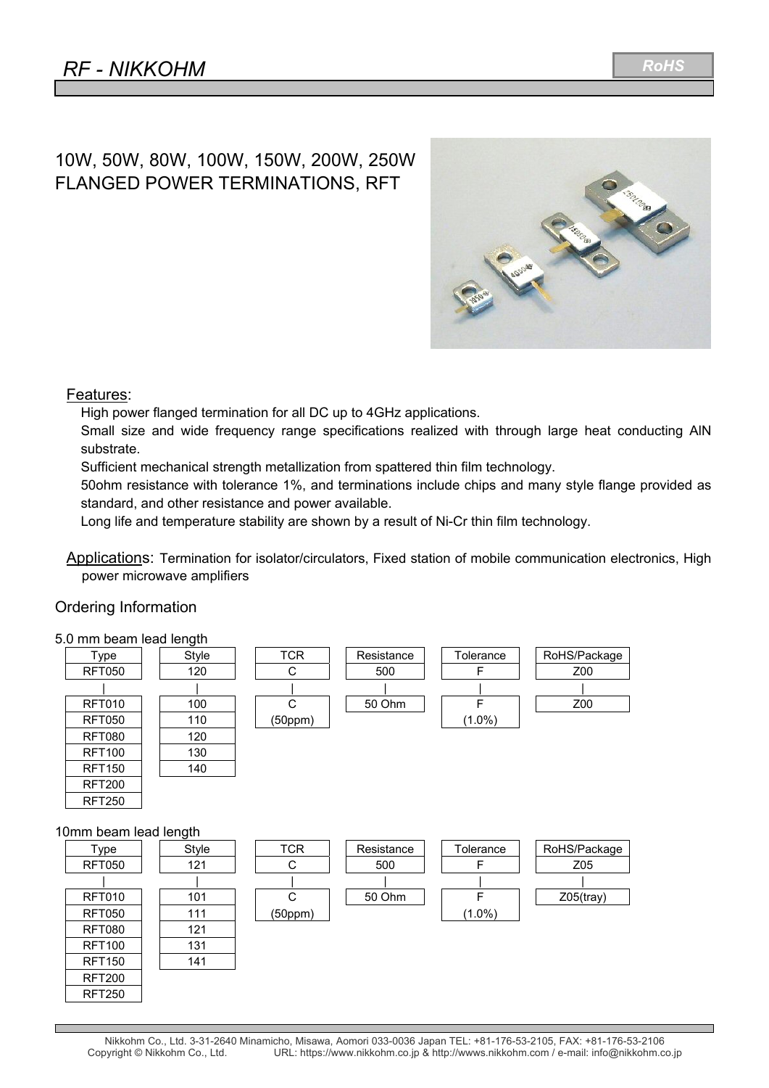# 10W, 50W, 80W, 100W, 150W, 200W, 250W FLANGED POWER TERMINATIONS, RFT



#### Features:

High power flanged termination for all DC up to 4GHz applications.

Small size and wide frequency range specifications realized with through large heat conducting AlN substrate.

Sufficient mechanical strength metallization from spattered thin film technology.

50ohm resistance with tolerance 1%, and terminations include chips and many style flange provided as standard, and other resistance and power available.

Long life and temperature stability are shown by a result of Ni-Cr thin film technology.

Applications: Termination for isolator/circulators, Fixed station of mobile communication electronics, High power microwave amplifiers

#### Ordering Information

#### 5.0 mm beam lead length

| o.o mini peam ieau iengul |       |            |            |           |              |
|---------------------------|-------|------------|------------|-----------|--------------|
| Type                      | Style | <b>TCR</b> | Resistance | Tolerance | RoHS/Package |
| <b>RFT050</b>             | 120   | C          | 500        | F         | Z00          |
|                           |       |            |            |           |              |
| <b>RFT010</b>             | 100   | C          | 50 Ohm     | F         | Z00          |
| <b>RFT050</b>             | 110   | (50ppm)    |            | $(1.0\%)$ |              |
| <b>RFT080</b>             | 120   |            |            |           |              |
| <b>RFT100</b>             | 130   |            |            |           |              |
| <b>RFT150</b>             | 140   |            |            |           |              |
| <b>RFT200</b>             |       |            |            |           |              |
| <b>RFT250</b>             |       |            |            |           |              |
| 10mm beam lead length     |       |            |            |           |              |
| Type                      | Style | <b>TCR</b> | Resistance | Tolerance | RoHS/Package |
| <b>RFT050</b>             | 121   | С          | 500        | F         | Z05          |
|                           |       |            |            |           |              |
| <b>RFT010</b>             | 101   | C          | 50 Ohm     | F         | $Z05$ (tray) |
| <b>RFT050</b>             | 111   | (50ppm)    |            | $(1.0\%)$ |              |
| <b>RFT080</b>             | 121   |            |            |           |              |
| <b>RFT100</b>             | 131   |            |            |           |              |
| <b>RFT150</b>             | 141   |            |            |           |              |
| <b>RFT200</b>             |       |            |            |           |              |
| <b>RFT250</b>             |       |            |            |           |              |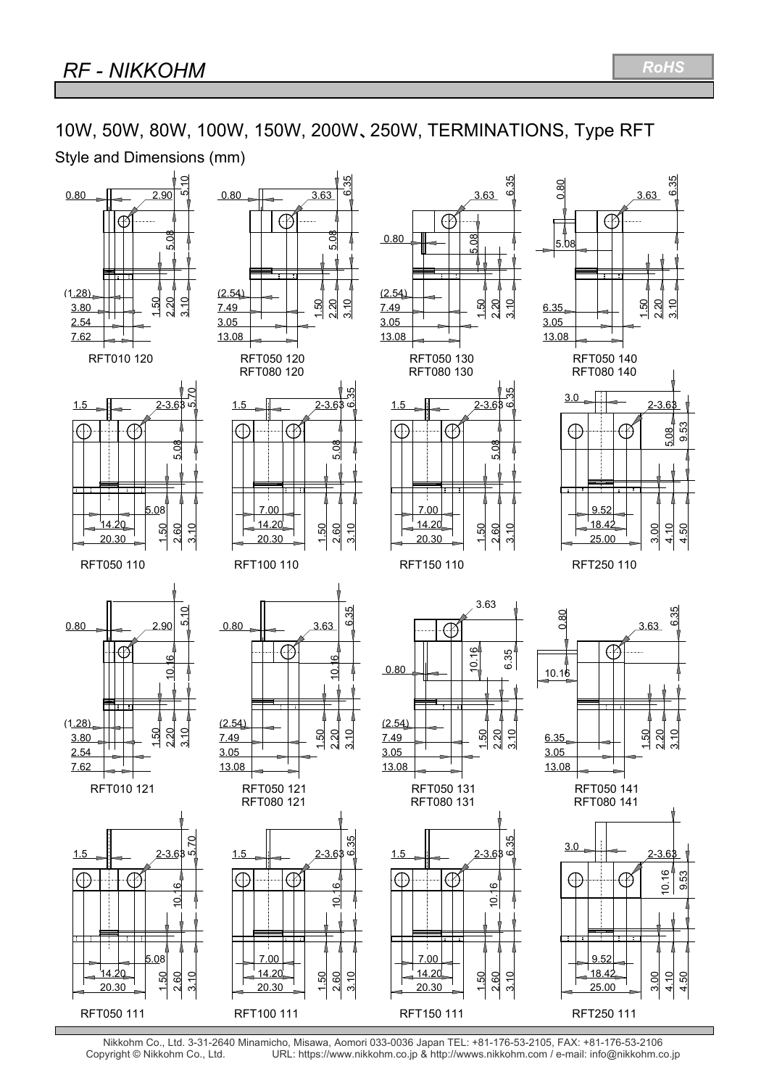# 10W, 50W, 80W, 100W, 150W, 200W、250W, TERMINATIONS, Type RFT

Style and Dimensions (mm)



Nikkohm Co., Ltd. 3-31-2640 Minamicho, Misawa, Aomori 033-0036 Japan TEL: +81-176-53-2105, FAX: +81-176-53-2106 URL: https://www.nikkohm.co.jp & http://wwws.nikkohm.com / e-mail: info@nikkohm.co.jp